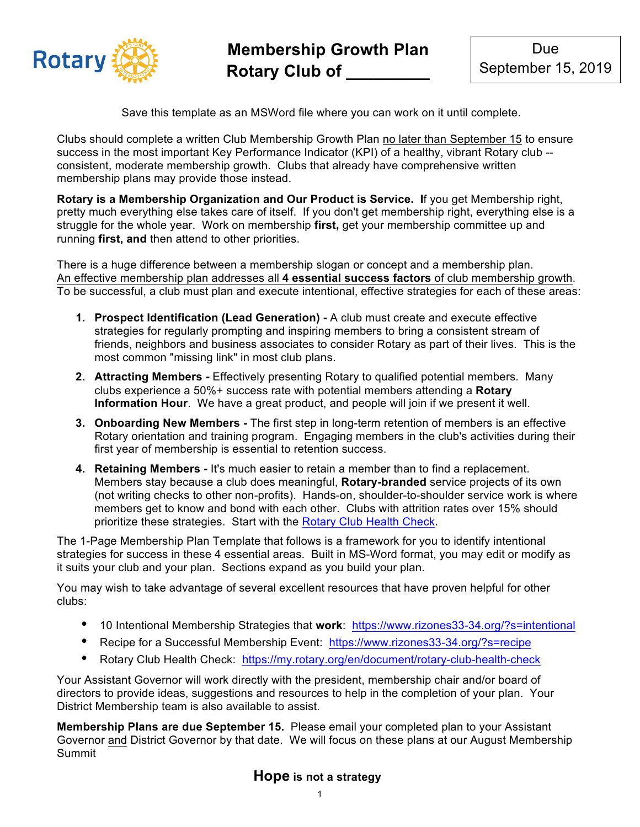

Save this template as an MSWord file where you can work on it until complete.

Clubs should complete a written Club Membership Growth Plan no later than September 15 to ensure success in the most important Key Performance Indicator (KPI) of a healthy, vibrant Rotary club - consistent, moderate membership growth. Clubs that already have comprehensive written membership plans may provide those instead.

**Rotary is a Membership Organization and Our Product is Service. I**f you get Membership right, pretty much everything else takes care of itself. If you don't get membership right, everything else is a struggle for the whole year. Work on membership **first,** get your membership committee up and running **first, and** then attend to other priorities.

There is a huge difference between a membership slogan or concept and a membership plan. An effective membership plan addresses all **4 essential success factors** of club membership growth. To be successful, a club must plan and execute intentional, effective strategies for each of these areas:

- **1. Prospect Identification (Lead Generation) -** A club must create and execute effective strategies for regularly prompting and inspiring members to bring a consistent stream of friends, neighbors and business associates to consider Rotary as part of their lives. This is the most common "missing link" in most club plans.
- **2. Attracting Members -** Effectively presenting Rotary to qualified potential members. Many clubs experience a 50%+ success rate with potential members attending a **Rotary Information Hour**. We have a great product, and people will join if we present it well.
- **3. Onboarding New Members -** The first step in long-term retention of members is an effective Rotary orientation and training program. Engaging members in the club's activities during their first year of membership is essential to retention success.
- **4. Retaining Members -** It's much easier to retain a member than to find a replacement. Members stay because a club does meaningful, **Rotary-branded** service projects of its own (not writing checks to other non-profits). Hands-on, shoulder-to-shoulder service work is where members get to know and bond with each other. Clubs with attrition rates over 15% should prioritize these strategies. Start with the Rotary Club Health Check.

The 1-Page Membership Plan Template that follows is a framework for you to identify intentional strategies for success in these 4 essential areas. Built in MS-Word format, you may edit or modify as it suits your club and your plan. Sections expand as you build your plan.

You may wish to take advantage of several excellent resources that have proven helpful for other clubs:

- 10 Intentional Membership Strategies that **work**: https://www.rizones33-34.org/?s=intentional
- Recipe for a Successful Membership Event: https://www.rizones33-34.org/?s=recipe
- Rotary Club Health Check: https://my.rotary.org/en/document/rotary-club-health-check

Your Assistant Governor will work directly with the president, membership chair and/or board of directors to provide ideas, suggestions and resources to help in the completion of your plan. Your District Membership team is also available to assist.

**Membership Plans are due September 15.** Please email your completed plan to your Assistant Governor and District Governor by that date. We will focus on these plans at our August Membership Summit

## **Hope is not a strategy**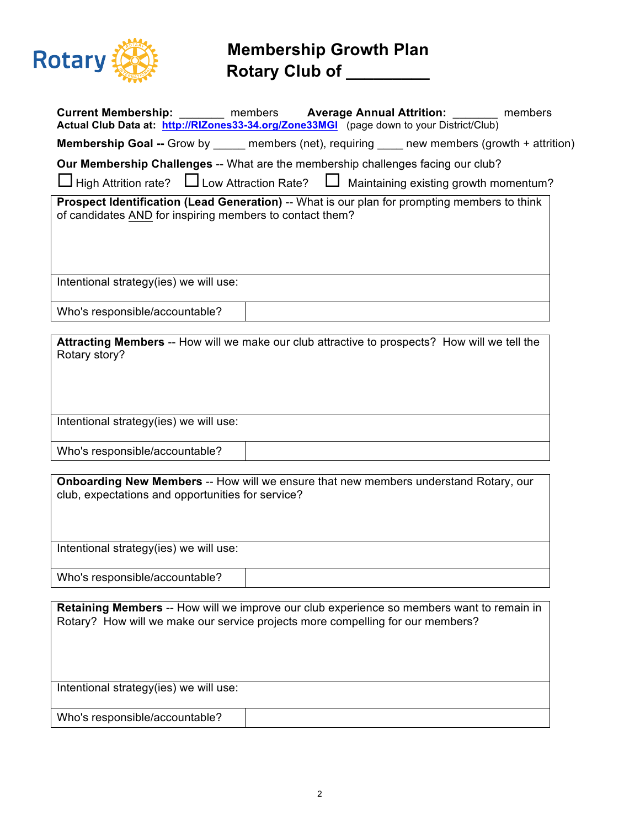

## **Membership Growth Plan Rotary Club of \_\_\_\_\_\_\_\_\_**

| Current Membership: _______ members Average Annual Attrition: ___________________<br>Actual Club Data at: http://RIZones33-34.org/Zone33MGI (page down to your District/Club)<br>members |
|------------------------------------------------------------------------------------------------------------------------------------------------------------------------------------------|
| <b>Membership Goal --</b> Grow by ______ members (net), requiring _____ new members (growth + attrition)                                                                                 |
| Our Membership Challenges -- What are the membership challenges facing our club?                                                                                                         |
| $\Box$ High Attrition rate? $\Box$ Low Attraction Rate? $\Box$ Maintaining existing growth momentum?                                                                                     |
| Prospect Identification (Lead Generation) -- What is our plan for prompting members to think<br>of candidates AND for inspiring members to contact them?                                 |
| Intentional strategy(ies) we will use:                                                                                                                                                   |
| Who's responsible/accountable?                                                                                                                                                           |
|                                                                                                                                                                                          |
| Attracting Members -- How will we make our club attractive to prospects? How will we tell the<br>Rotary story?                                                                           |
| Intentional strategy(ies) we will use:                                                                                                                                                   |
| Who's responsible/accountable?                                                                                                                                                           |
|                                                                                                                                                                                          |
| Onboarding New Members -- How will we ensure that new members understand Rotary, our<br>club, expectations and opportunities for service?                                                |
| Intentional strategy(ies) we will use:                                                                                                                                                   |
| Who's responsible/accountable?                                                                                                                                                           |
| Retaining Members -- How will we improve our club experience so members want to remain in<br>Rotary? How will we make our service projects more compelling for our members?              |
| Intentional strategy(ies) we will use:                                                                                                                                                   |

Who's responsible/accountable?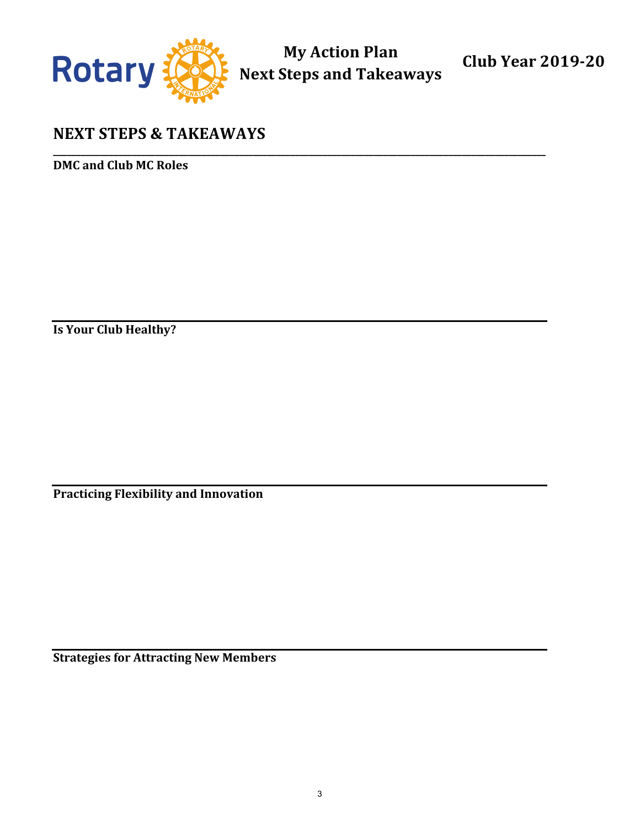

**My Action Plan Next Steps and Takeaways** 

**\_\_\_\_\_\_\_\_\_\_\_\_\_\_\_\_\_\_\_\_\_\_\_\_\_\_\_\_\_\_\_\_\_\_\_\_\_\_\_\_\_\_\_\_\_\_\_\_\_\_\_\_\_\_\_\_\_\_\_\_\_\_\_\_\_\_\_\_\_\_\_\_\_\_\_\_\_\_\_\_\_\_\_\_\_\_\_\_\_\_\_\_\_\_\_\_\_\_\_\_\_\_\_\_\_\_**

**Club Year 2019-20**

## **NEXT STEPS & TAKEAWAYS**

**DMC** and Club MC Roles

**Is Your Club Healthy?** 

**Practicing Flexibility and Innovation** 

**Strategies for Attracting New Members**